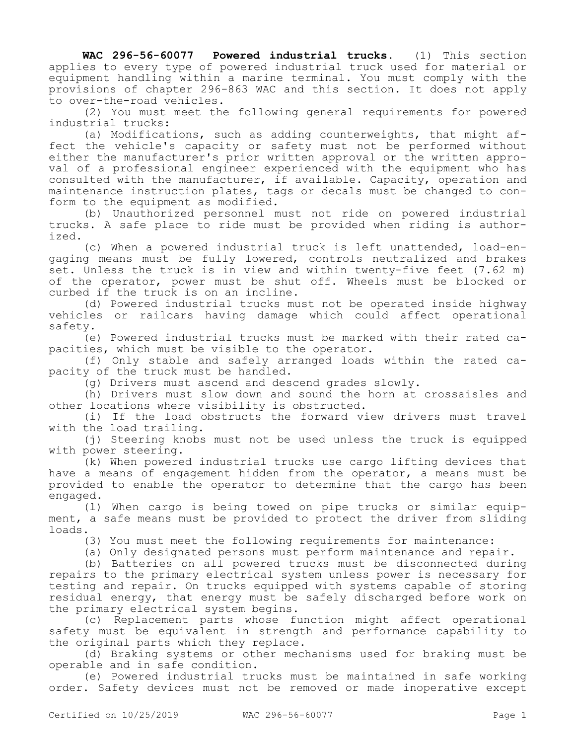**WAC 296-56-60077 Powered industrial trucks.** (1) This section applies to every type of powered industrial truck used for material or equipment handling within a marine terminal. You must comply with the provisions of chapter 296-863 WAC and this section. It does not apply to over-the-road vehicles.

(2) You must meet the following general requirements for powered industrial trucks:

(a) Modifications, such as adding counterweights, that might affect the vehicle's capacity or safety must not be performed without either the manufacturer's prior written approval or the written approval of a professional engineer experienced with the equipment who has consulted with the manufacturer, if available. Capacity, operation and maintenance instruction plates, tags or decals must be changed to conform to the equipment as modified.

(b) Unauthorized personnel must not ride on powered industrial trucks. A safe place to ride must be provided when riding is authorized.

(c) When a powered industrial truck is left unattended, load-engaging means must be fully lowered, controls neutralized and brakes set. Unless the truck is in view and within twenty-five feet (7.62 m) of the operator, power must be shut off. Wheels must be blocked or curbed if the truck is on an incline.

(d) Powered industrial trucks must not be operated inside highway vehicles or railcars having damage which could affect operational safety.

(e) Powered industrial trucks must be marked with their rated capacities, which must be visible to the operator.

(f) Only stable and safely arranged loads within the rated capacity of the truck must be handled.

(g) Drivers must ascend and descend grades slowly.

(h) Drivers must slow down and sound the horn at crossaisles and other locations where visibility is obstructed.

(i) If the load obstructs the forward view drivers must travel with the load trailing.

(j) Steering knobs must not be used unless the truck is equipped with power steering.

(k) When powered industrial trucks use cargo lifting devices that have a means of engagement hidden from the operator, a means must be provided to enable the operator to determine that the cargo has been engaged.

(l) When cargo is being towed on pipe trucks or similar equipment, a safe means must be provided to protect the driver from sliding loads.

(3) You must meet the following requirements for maintenance:

(a) Only designated persons must perform maintenance and repair.

(b) Batteries on all powered trucks must be disconnected during repairs to the primary electrical system unless power is necessary for testing and repair. On trucks equipped with systems capable of storing residual energy, that energy must be safely discharged before work on the primary electrical system begins.

(c) Replacement parts whose function might affect operational safety must be equivalent in strength and performance capability to the original parts which they replace.

(d) Braking systems or other mechanisms used for braking must be operable and in safe condition.

(e) Powered industrial trucks must be maintained in safe working order. Safety devices must not be removed or made inoperative except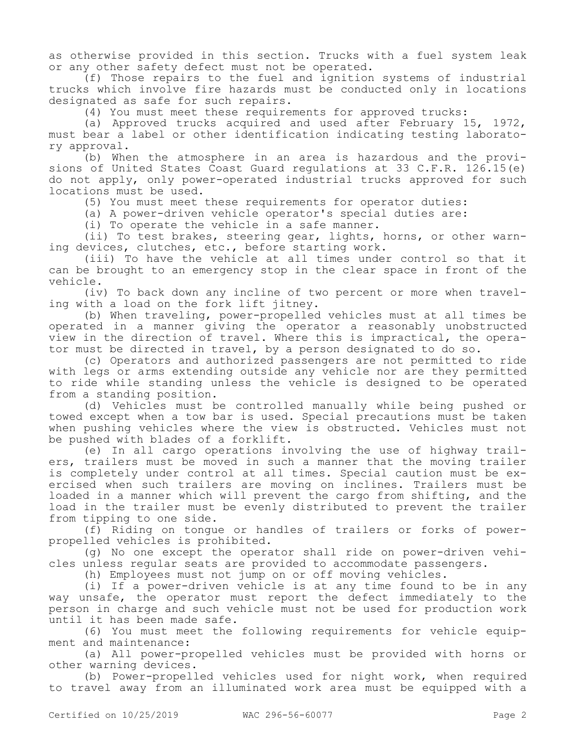as otherwise provided in this section. Trucks with a fuel system leak or any other safety defect must not be operated.

(f) Those repairs to the fuel and ignition systems of industrial trucks which involve fire hazards must be conducted only in locations designated as safe for such repairs.

(4) You must meet these requirements for approved trucks:

(a) Approved trucks acquired and used after February 15, 1972, must bear a label or other identification indicating testing laboratory approval.

(b) When the atmosphere in an area is hazardous and the provisions of United States Coast Guard regulations at 33 C.F.R. 126.15(e) do not apply, only power-operated industrial trucks approved for such locations must be used.

(5) You must meet these requirements for operator duties:

(a) A power-driven vehicle operator's special duties are:

(i) To operate the vehicle in a safe manner.

(ii) To test brakes, steering gear, lights, horns, or other warning devices, clutches, etc., before starting work.

(iii) To have the vehicle at all times under control so that it can be brought to an emergency stop in the clear space in front of the vehicle.

(iv) To back down any incline of two percent or more when traveling with a load on the fork lift jitney.

(b) When traveling, power-propelled vehicles must at all times be operated in a manner giving the operator a reasonably unobstructed view in the direction of travel. Where this is impractical, the operator must be directed in travel, by a person designated to do so.

(c) Operators and authorized passengers are not permitted to ride with legs or arms extending outside any vehicle nor are they permitted to ride while standing unless the vehicle is designed to be operated from a standing position.

(d) Vehicles must be controlled manually while being pushed or towed except when a tow bar is used. Special precautions must be taken when pushing vehicles where the view is obstructed. Vehicles must not be pushed with blades of a forklift.

(e) In all cargo operations involving the use of highway trailers, trailers must be moved in such a manner that the moving trailer is completely under control at all times. Special caution must be exercised when such trailers are moving on inclines. Trailers must be loaded in a manner which will prevent the cargo from shifting, and the load in the trailer must be evenly distributed to prevent the trailer from tipping to one side.

(f) Riding on tongue or handles of trailers or forks of powerpropelled vehicles is prohibited.

(g) No one except the operator shall ride on power-driven vehicles unless regular seats are provided to accommodate passengers.

(h) Employees must not jump on or off moving vehicles.

(i) If a power-driven vehicle is at any time found to be in any way unsafe, the operator must report the defect immediately to the person in charge and such vehicle must not be used for production work until it has been made safe.

(6) You must meet the following requirements for vehicle equipment and maintenance:

(a) All power-propelled vehicles must be provided with horns or other warning devices.

(b) Power-propelled vehicles used for night work, when required to travel away from an illuminated work area must be equipped with a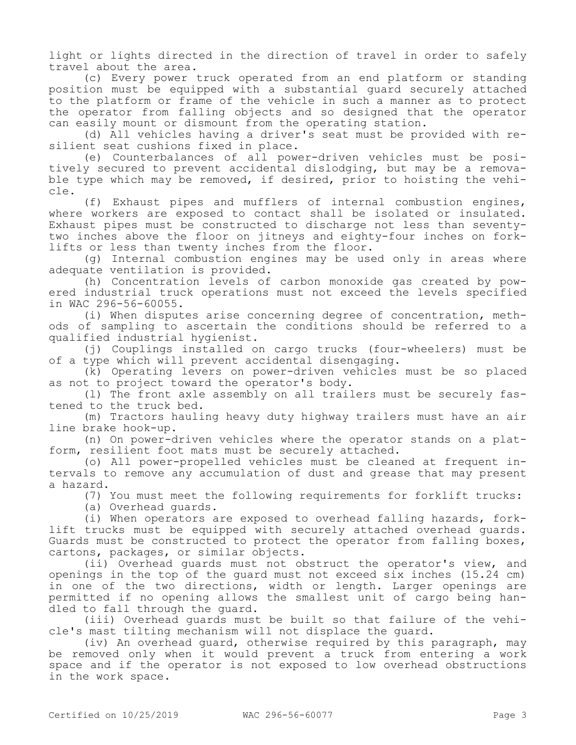light or lights directed in the direction of travel in order to safely travel about the area.

(c) Every power truck operated from an end platform or standing position must be equipped with a substantial guard securely attached to the platform or frame of the vehicle in such a manner as to protect the operator from falling objects and so designed that the operator can easily mount or dismount from the operating station.

(d) All vehicles having a driver's seat must be provided with resilient seat cushions fixed in place.

(e) Counterbalances of all power-driven vehicles must be positively secured to prevent accidental dislodging, but may be a removable type which may be removed, if desired, prior to hoisting the vehicle.

(f) Exhaust pipes and mufflers of internal combustion engines, where workers are exposed to contact shall be isolated or insulated. Exhaust pipes must be constructed to discharge not less than seventytwo inches above the floor on jitneys and eighty-four inches on forklifts or less than twenty inches from the floor.

(g) Internal combustion engines may be used only in areas where adequate ventilation is provided.

(h) Concentration levels of carbon monoxide gas created by powered industrial truck operations must not exceed the levels specified in WAC 296-56-60055.

(i) When disputes arise concerning degree of concentration, methods of sampling to ascertain the conditions should be referred to a qualified industrial hygienist.

(j) Couplings installed on cargo trucks (four-wheelers) must be of a type which will prevent accidental disengaging.

(k) Operating levers on power-driven vehicles must be so placed as not to project toward the operator's body.

(l) The front axle assembly on all trailers must be securely fastened to the truck bed.

(m) Tractors hauling heavy duty highway trailers must have an air line brake hook-up.

(n) On power-driven vehicles where the operator stands on a platform, resilient foot mats must be securely attached.

(o) All power-propelled vehicles must be cleaned at frequent intervals to remove any accumulation of dust and grease that may present a hazard.

(7) You must meet the following requirements for forklift trucks:

(a) Overhead guards.

(i) When operators are exposed to overhead falling hazards, forklift trucks must be equipped with securely attached overhead guards. Guards must be constructed to protect the operator from falling boxes, cartons, packages, or similar objects.

(ii) Overhead guards must not obstruct the operator's view, and openings in the top of the guard must not exceed six inches (15.24 cm) in one of the two directions, width or length. Larger openings are permitted if no opening allows the smallest unit of cargo being handled to fall through the guard.

(iii) Overhead guards must be built so that failure of the vehicle's mast tilting mechanism will not displace the guard.

(iv) An overhead guard, otherwise required by this paragraph, may be removed only when it would prevent a truck from entering a work space and if the operator is not exposed to low overhead obstructions in the work space.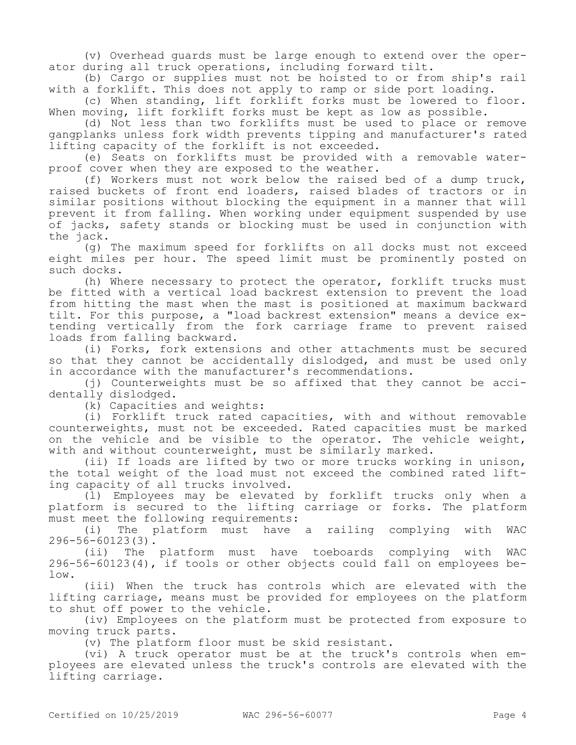(v) Overhead guards must be large enough to extend over the operator during all truck operations, including forward tilt.

(b) Cargo or supplies must not be hoisted to or from ship's rail with a forklift. This does not apply to ramp or side port loading.

(c) When standing, lift forklift forks must be lowered to floor. When moving, lift forklift forks must be kept as low as possible.

(d) Not less than two forklifts must be used to place or remove gangplanks unless fork width prevents tipping and manufacturer's rated lifting capacity of the forklift is not exceeded.

(e) Seats on forklifts must be provided with a removable waterproof cover when they are exposed to the weather.

(f) Workers must not work below the raised bed of a dump truck, raised buckets of front end loaders, raised blades of tractors or in similar positions without blocking the equipment in a manner that will prevent it from falling. When working under equipment suspended by use of jacks, safety stands or blocking must be used in conjunction with the jack.

(g) The maximum speed for forklifts on all docks must not exceed eight miles per hour. The speed limit must be prominently posted on such docks.

(h) Where necessary to protect the operator, forklift trucks must be fitted with a vertical load backrest extension to prevent the load from hitting the mast when the mast is positioned at maximum backward tilt. For this purpose, a "load backrest extension" means a device extending vertically from the fork carriage frame to prevent raised loads from falling backward.

(i) Forks, fork extensions and other attachments must be secured so that they cannot be accidentally dislodged, and must be used only in accordance with the manufacturer's recommendations.

(j) Counterweights must be so affixed that they cannot be accidentally dislodged.

(k) Capacities and weights:

(i) Forklift truck rated capacities, with and without removable counterweights, must not be exceeded. Rated capacities must be marked on the vehicle and be visible to the operator. The vehicle weight, with and without counterweight, must be similarly marked.

(ii) If loads are lifted by two or more trucks working in unison, the total weight of the load must not exceed the combined rated lifting capacity of all trucks involved.

(l) Employees may be elevated by forklift trucks only when a platform is secured to the lifting carriage or forks. The platform must meet the following requirements:

(i) The platform must have a railing complying with WAC 296-56-60123(3).

(ii) The platform must have toeboards complying with WAC 296-56-60123(4), if tools or other objects could fall on employees below.

(iii) When the truck has controls which are elevated with the lifting carriage, means must be provided for employees on the platform to shut off power to the vehicle.

(iv) Employees on the platform must be protected from exposure to moving truck parts.

(v) The platform floor must be skid resistant.

(vi) A truck operator must be at the truck's controls when employees are elevated unless the truck's controls are elevated with the lifting carriage.